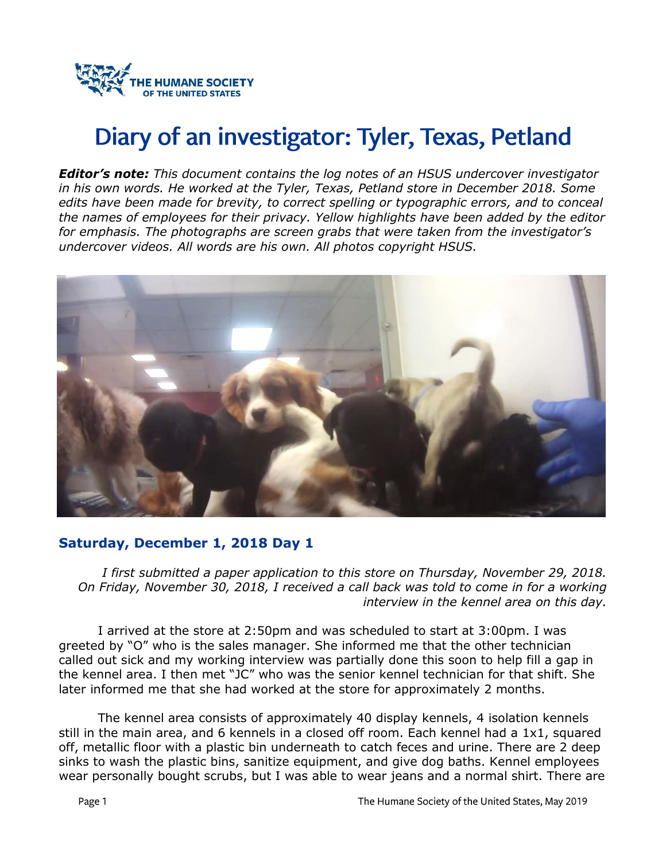

# Diary of an investigator: Tyler, Texas, Petland

*Editor's note: This document contains the log notes of an HSUS undercover investigator in his own words. He worked at the Tyler, Texas, Petland store in December 2018. Some edits have been made for brevity, to correct spelling or typographic errors, and to conceal the names of employees for their privacy. Yellow highlights have been added by the editor for emphasis. The photographs are screen grabs that were taken from the investigator's undercover videos. All words are his own. All photos copyright HSUS.*



#### **Saturday, December 1, 2018 Day 1**

*I first submitted a paper application to this store on Thursday, November 29, 2018. On Friday, November 30, 2018, I received a call back was told to come in for a working interview in the kennel area on this day.* 

I arrived at the store at 2:50pm and was scheduled to start at 3:00pm. I was greeted by "O" who is the sales manager. She informed me that the other technician called out sick and my working interview was partially done this soon to help fill a gap in the kennel area. I then met "JC" who was the senior kennel technician for that shift. She later informed me that she had worked at the store for approximately 2 months.

The kennel area consists of approximately 40 display kennels, 4 isolation kennels still in the main area, and 6 kennels in a closed off room. Each kennel had a 1x1, squared off, metallic floor with a plastic bin underneath to catch feces and urine. There are 2 deep sinks to wash the plastic bins, sanitize equipment, and give dog baths. Kennel employees wear personally bought scrubs, but I was able to wear jeans and a normal shirt. There are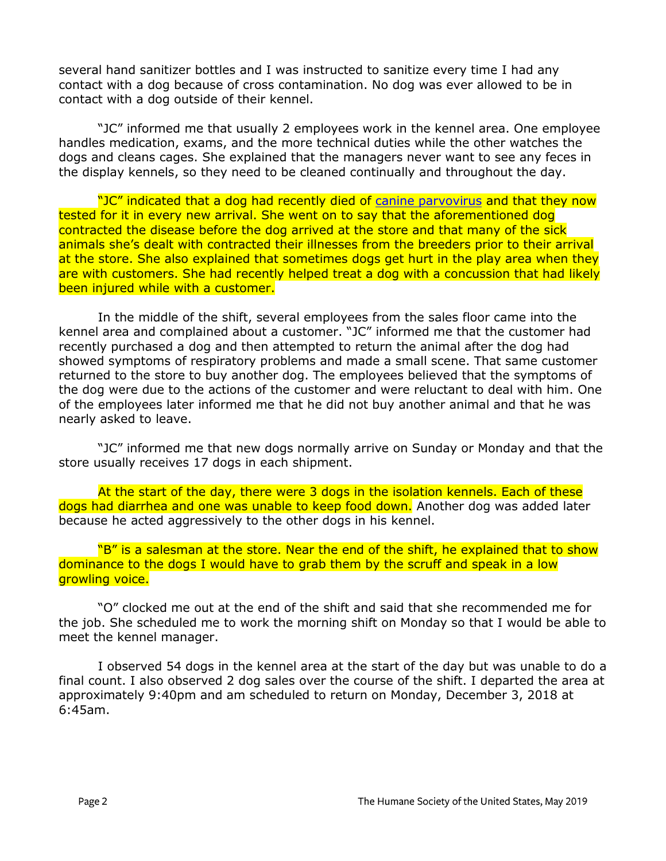several hand sanitizer bottles and I was instructed to sanitize every time I had any contact with a dog because of cross contamination. No dog was ever allowed to be in contact with a dog outside of their kennel.

"JC" informed me that usually 2 employees work in the kennel area. One employee handles medication, exams, and the more technical duties while the other watches the dogs and cleans cages. She explained that the managers never want to see any feces in the display kennels, so they need to be cleaned continually and throughout the day.

"JC" indicated that a dog had recently died of [canine parvovirus](https://www.petmd.com/dog/conditions/infectious-parasitic/c_dg_canine_parvovirus_infection) and that they now tested for it in every new arrival. She went on to say that the aforementioned dog contracted the disease before the dog arrived at the store and that many of the sick animals she's dealt with contracted their illnesses from the breeders prior to their arrival at the store. She also explained that sometimes dogs get hurt in the play area when they are with customers. She had recently helped treat a dog with a concussion that had likely been injured while with a customer.

In the middle of the shift, several employees from the sales floor came into the kennel area and complained about a customer. "JC" informed me that the customer had recently purchased a dog and then attempted to return the animal after the dog had showed symptoms of respiratory problems and made a small scene. That same customer returned to the store to buy another dog. The employees believed that the symptoms of the dog were due to the actions of the customer and were reluctant to deal with him. One of the employees later informed me that he did not buy another animal and that he was nearly asked to leave.

"JC" informed me that new dogs normally arrive on Sunday or Monday and that the store usually receives 17 dogs in each shipment.

At the start of the day, there were 3 dogs in the isolation kennels. Each of these dogs had diarrhea and one was unable to keep food down. Another dog was added later because he acted aggressively to the other dogs in his kennel.

"B" is a salesman at the store. Near the end of the shift, he explained that to show dominance to the dogs I would have to grab them by the scruff and speak in a low growling voice.

"O" clocked me out at the end of the shift and said that she recommended me for the job. She scheduled me to work the morning shift on Monday so that I would be able to meet the kennel manager.

I observed 54 dogs in the kennel area at the start of the day but was unable to do a final count. I also observed 2 dog sales over the course of the shift. I departed the area at approximately 9:40pm and am scheduled to return on Monday, December 3, 2018 at 6:45am.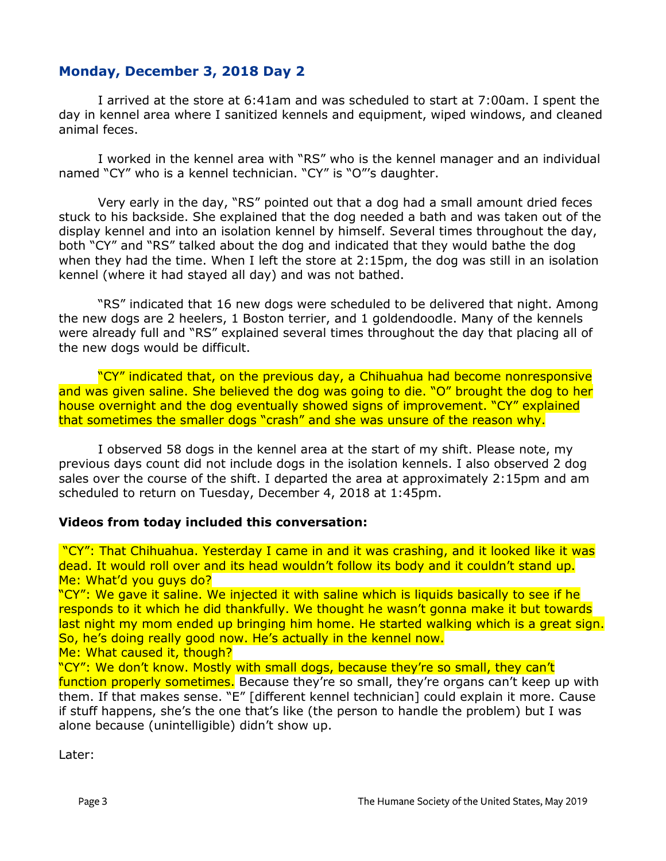## **Monday, December 3, 2018 Day 2**

I arrived at the store at 6:41am and was scheduled to start at 7:00am. I spent the day in kennel area where I sanitized kennels and equipment, wiped windows, and cleaned animal feces.

I worked in the kennel area with "RS" who is the kennel manager and an individual named "CY" who is a kennel technician. "CY" is "O"'s daughter.

Very early in the day, "RS" pointed out that a dog had a small amount dried feces stuck to his backside. She explained that the dog needed a bath and was taken out of the display kennel and into an isolation kennel by himself. Several times throughout the day, both "CY" and "RS" talked about the dog and indicated that they would bathe the dog when they had the time. When I left the store at 2:15pm, the dog was still in an isolation kennel (where it had stayed all day) and was not bathed.

"RS" indicated that 16 new dogs were scheduled to be delivered that night. Among the new dogs are 2 heelers, 1 Boston terrier, and 1 goldendoodle. Many of the kennels were already full and "RS" explained several times throughout the day that placing all of the new dogs would be difficult.

"CY" indicated that, on the previous day, a Chihuahua had become nonresponsive and was given saline. She believed the dog was going to die. "O" brought the dog to her house overnight and the dog eventually showed signs of improvement. "CY" explained that sometimes the smaller dogs "crash" and she was unsure of the reason why.

I observed 58 dogs in the kennel area at the start of my shift. Please note, my previous days count did not include dogs in the isolation kennels. I also observed 2 dog sales over the course of the shift. I departed the area at approximately 2:15pm and am scheduled to return on Tuesday, December 4, 2018 at 1:45pm.

#### **Videos from today included this conversation:**

"CY": That Chihuahua. Yesterday I came in and it was crashing, and it looked like it was dead. It would roll over and its head wouldn't follow its body and it couldn't stand up. Me: What'd you guys do?

"CY": We gave it saline. We injected it with saline which is liquids basically to see if he responds to it which he did thankfully. We thought he wasn't gonna make it but towards last night my mom ended up bringing him home. He started walking which is a great sign. So, he's doing really good now. He's actually in the kennel now.

Me: What caused it, though?

"CY": We don't know. Mostly with small dogs, because they're so small, they can't

function properly sometimes. Because they're so small, they're organs can't keep up with them. If that makes sense. "E" [different kennel technician] could explain it more. Cause if stuff happens, she's the one that's like (the person to handle the problem) but I was alone because (unintelligible) didn't show up.

Later: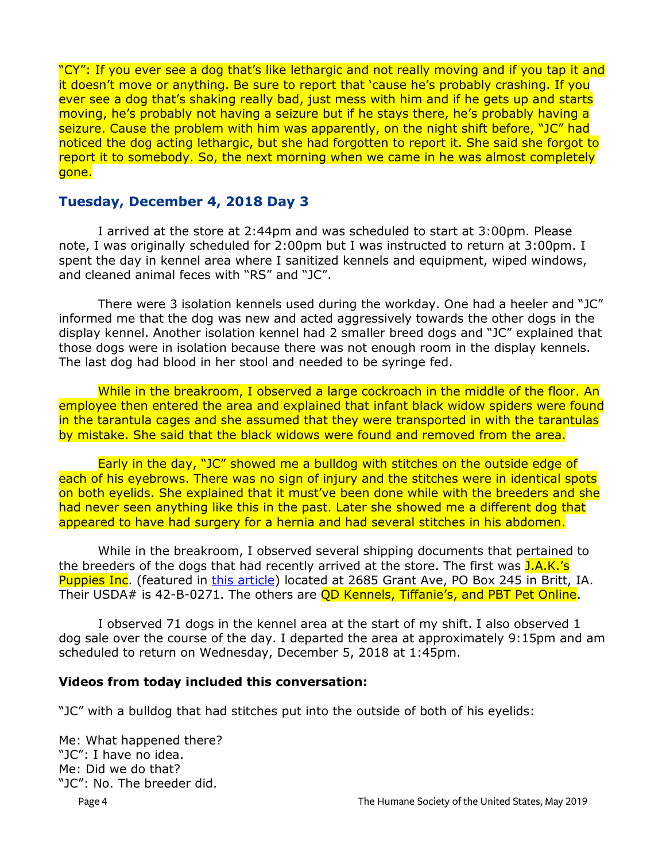"CY": If you ever see a dog that's like lethargic and not really moving and if you tap it and it doesn't move or anything. Be sure to report that 'cause he's probably crashing. If you ever see a dog that's shaking really bad, just mess with him and if he gets up and starts moving, he's probably not having a seizure but if he stays there, he's probably having a seizure. Cause the problem with him was apparently, on the night shift before, "JC" had noticed the dog acting lethargic, but she had forgotten to report it. She said she forgot to report it to somebody. So, the next morning when we came in he was almost completely gone.

## **Tuesday, December 4, 2018 Day 3**

I arrived at the store at 2:44pm and was scheduled to start at 3:00pm. Please note, I was originally scheduled for 2:00pm but I was instructed to return at 3:00pm. I spent the day in kennel area where I sanitized kennels and equipment, wiped windows, and cleaned animal feces with "RS" and "JC".

There were 3 isolation kennels used during the workday. One had a heeler and "JC" informed me that the dog was new and acted aggressively towards the other dogs in the display kennel. Another isolation kennel had 2 smaller breed dogs and "JC" explained that those dogs were in isolation because there was not enough room in the display kennels. The last dog had blood in her stool and needed to be syringe fed.

While in the breakroom, I observed a large cockroach in the middle of the floor. An employee then entered the area and explained that infant black widow spiders were found in the tarantula cages and she assumed that they were transported in with the tarantulas by mistake. She said that the black widows were found and removed from the area.

Early in the day, "JC" showed me a bulldog with stitches on the outside edge of each of his eyebrows. There was no sign of injury and the stitches were in identical spots on both eyelids. She explained that it must've been done while with the breeders and she had never seen anything like this in the past. Later she showed me a different dog that appeared to have had surgery for a hernia and had several stitches in his abdomen.

While in the breakroom, I observed several shipping documents that pertained to the breeders of the dogs that had recently arrived at the store. The first was J.A.K.'s Puppies Inc. (featured in [this article\)](https://globegazette.com/news/local/designer-and-purebred-puppies-from-britt-elsewhere-sold-as-rescue/article_35416036-8c17-5c99-8db7-507545264d10.html) located at 2685 Grant Ave, PO Box 245 in Britt, IA. Their USDA# is 42-B-0271. The others are **QD Kennels, Tiffanie's, and PBT Pet Online**.

I observed 71 dogs in the kennel area at the start of my shift. I also observed 1 dog sale over the course of the day. I departed the area at approximately 9:15pm and am scheduled to return on Wednesday, December 5, 2018 at 1:45pm.

#### **Videos from today included this conversation:**

"JC" with a bulldog that had stitches put into the outside of both of his eyelids:

Me: What happened there? "JC": I have no idea. Me: Did we do that? "JC": No. The breeder did. Page 4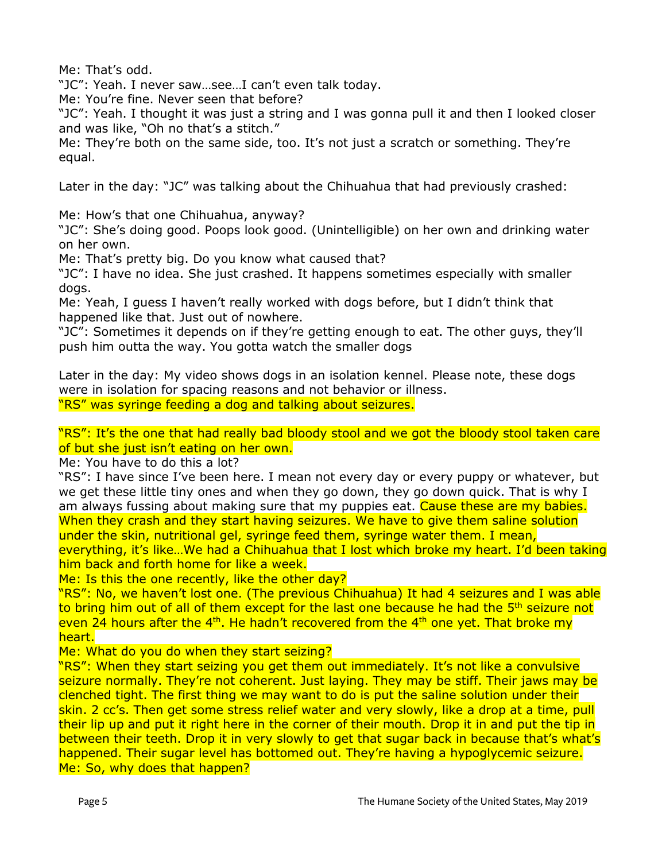Me: That's odd.

"JC": Yeah. I never saw…see…I can't even talk today.

Me: You're fine. Never seen that before?

"JC": Yeah. I thought it was just a string and I was gonna pull it and then I looked closer and was like, "Oh no that's a stitch."

Me: They're both on the same side, too. It's not just a scratch or something. They're equal.

Later in the day: "JC" was talking about the Chihuahua that had previously crashed:

Me: How's that one Chihuahua, anyway?

"JC": She's doing good. Poops look good. (Unintelligible) on her own and drinking water on her own.

Me: That's pretty big. Do you know what caused that?

"JC": I have no idea. She just crashed. It happens sometimes especially with smaller dogs.

Me: Yeah, I guess I haven't really worked with dogs before, but I didn't think that happened like that. Just out of nowhere.

"JC": Sometimes it depends on if they're getting enough to eat. The other guys, they'll push him outta the way. You gotta watch the smaller dogs

Later in the day: My video shows dogs in an isolation kennel. Please note, these dogs were in isolation for spacing reasons and not behavior or illness. "RS" was syringe feeding a dog and talking about seizures.

"RS": It's the one that had really bad bloody stool and we got the bloody stool taken care of but she just isn't eating on her own.

Me: You have to do this a lot?

"RS": I have since I've been here. I mean not every day or every puppy or whatever, but we get these little tiny ones and when they go down, they go down quick. That is why I am always fussing about making sure that my puppies eat. Cause these are my babies. When they crash and they start having seizures. We have to give them saline solution under the skin, nutritional gel, syringe feed them, syringe water them. I mean, everything, it's like...We had a Chihuahua that I lost which broke my heart. I'd been taking

him back and forth home for like a week.

Me: Is this the one recently, like the other day?

"RS": No, we haven't lost one. (The previous Chihuahua) It had 4 seizures and I was able to bring him out of all of them except for the last one because he had the 5<sup>th</sup> seizure not even 24 hours after the  $4<sup>th</sup>$ . He hadn't recovered from the  $4<sup>th</sup>$  one yet. That broke my heart.

Me: What do you do when they start seizing?

"RS": When they start seizing you get them out immediately. It's not like a convulsive seizure normally. They're not coherent. Just laying. They may be stiff. Their jaws may be clenched tight. The first thing we may want to do is put the saline solution under their skin. 2 cc's. Then get some stress relief water and very slowly, like a drop at a time, pull their lip up and put it right here in the corner of their mouth. Drop it in and put the tip in between their teeth. Drop it in very slowly to get that sugar back in because that's what's happened. Their sugar level has bottomed out. They're having a hypoglycemic seizure. Me: So, why does that happen?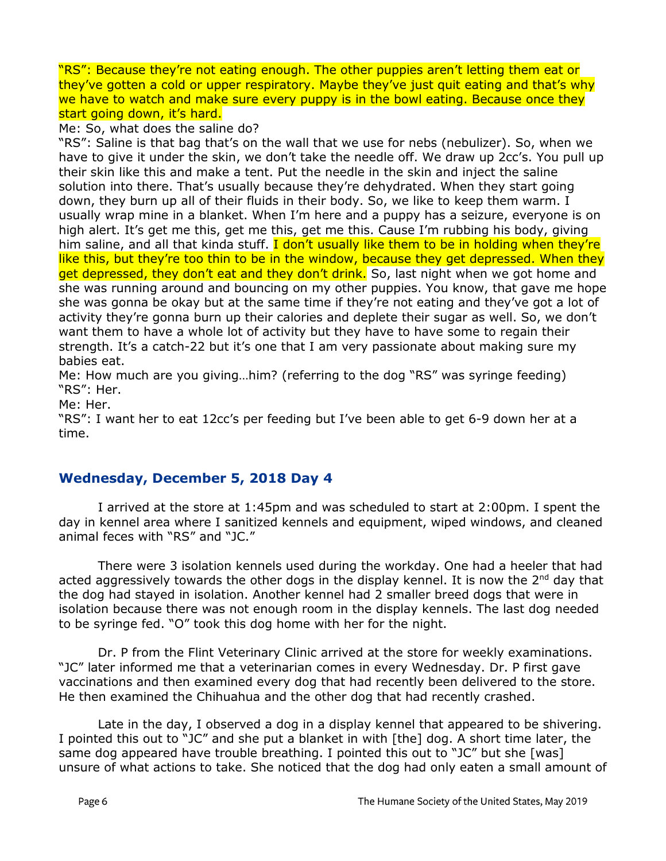"RS": Because they're not eating enough. The other puppies aren't letting them eat or they've gotten a cold or upper respiratory. Maybe they've just quit eating and that's why we have to watch and make sure every puppy is in the bowl eating. Because once they start going down, it's hard.

#### Me: So, what does the saline do?

"RS": Saline is that bag that's on the wall that we use for nebs (nebulizer). So, when we have to give it under the skin, we don't take the needle off. We draw up 2cc's. You pull up their skin like this and make a tent. Put the needle in the skin and inject the saline solution into there. That's usually because they're dehydrated. When they start going down, they burn up all of their fluids in their body. So, we like to keep them warm. I usually wrap mine in a blanket. When I'm here and a puppy has a seizure, everyone is on high alert. It's get me this, get me this, get me this. Cause I'm rubbing his body, giving him saline, and all that kinda stuff. I don't usually like them to be in holding when they're like this, but they're too thin to be in the window, because they get depressed. When they get depressed, they don't eat and they don't drink. So, last night when we got home and she was running around and bouncing on my other puppies. You know, that gave me hope she was gonna be okay but at the same time if they're not eating and they've got a lot of activity they're gonna burn up their calories and deplete their sugar as well. So, we don't want them to have a whole lot of activity but they have to have some to regain their strength. It's a catch-22 but it's one that I am very passionate about making sure my babies eat.

Me: How much are you giving…him? (referring to the dog "RS" was syringe feeding) "RS": Her.

Me: Her.

"RS": I want her to eat 12cc's per feeding but I've been able to get 6-9 down her at a time.

## **Wednesday, December 5, 2018 Day 4**

I arrived at the store at 1:45pm and was scheduled to start at 2:00pm. I spent the day in kennel area where I sanitized kennels and equipment, wiped windows, and cleaned animal feces with "RS" and "JC."

There were 3 isolation kennels used during the workday. One had a heeler that had acted aggressively towards the other dogs in the display kennel. It is now the 2<sup>nd</sup> day that the dog had stayed in isolation. Another kennel had 2 smaller breed dogs that were in isolation because there was not enough room in the display kennels. The last dog needed to be syringe fed. "O" took this dog home with her for the night.

Dr. P from the Flint Veterinary Clinic arrived at the store for weekly examinations. "JC" later informed me that a veterinarian comes in every Wednesday. Dr. P first gave vaccinations and then examined every dog that had recently been delivered to the store. He then examined the Chihuahua and the other dog that had recently crashed.

Late in the day, I observed a dog in a display kennel that appeared to be shivering. I pointed this out to "JC" and she put a blanket in with [the] dog. A short time later, the same dog appeared have trouble breathing. I pointed this out to "JC" but she [was] unsure of what actions to take. She noticed that the dog had only eaten a small amount of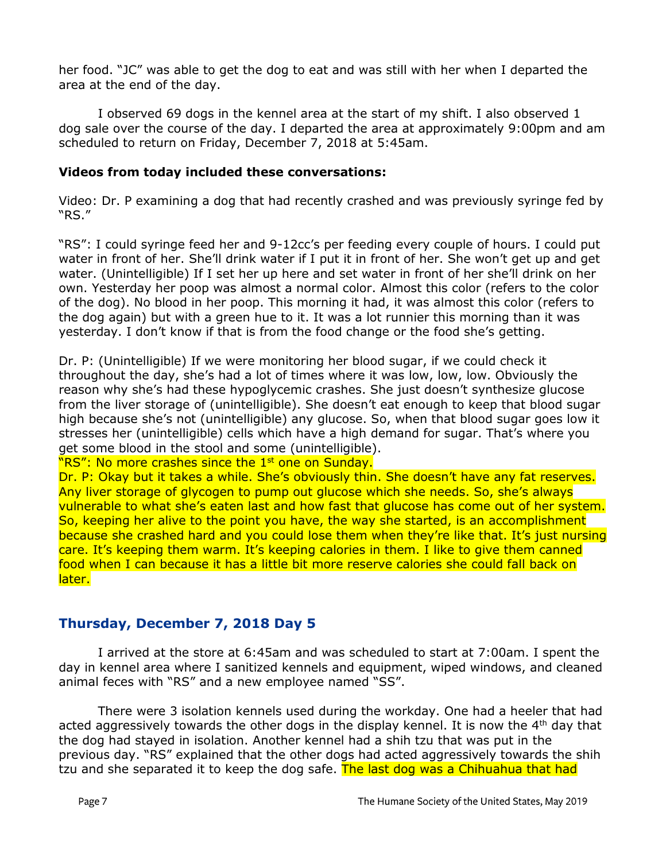her food. "JC" was able to get the dog to eat and was still with her when I departed the area at the end of the day.

I observed 69 dogs in the kennel area at the start of my shift. I also observed 1 dog sale over the course of the day. I departed the area at approximately 9:00pm and am scheduled to return on Friday, December 7, 2018 at 5:45am.

#### **Videos from today included these conversations:**

Video: Dr. P examining a dog that had recently crashed and was previously syringe fed by "RS."

"RS": I could syringe feed her and 9-12cc's per feeding every couple of hours. I could put water in front of her. She'll drink water if I put it in front of her. She won't get up and get water. (Unintelligible) If I set her up here and set water in front of her she'll drink on her own. Yesterday her poop was almost a normal color. Almost this color (refers to the color of the dog). No blood in her poop. This morning it had, it was almost this color (refers to the dog again) but with a green hue to it. It was a lot runnier this morning than it was yesterday. I don't know if that is from the food change or the food she's getting.

Dr. P: (Unintelligible) If we were monitoring her blood sugar, if we could check it throughout the day, she's had a lot of times where it was low, low, low. Obviously the reason why she's had these hypoglycemic crashes. She just doesn't synthesize glucose from the liver storage of (unintelligible). She doesn't eat enough to keep that blood sugar high because she's not (unintelligible) any glucose. So, when that blood sugar goes low it stresses her (unintelligible) cells which have a high demand for sugar. That's where you get some blood in the stool and some (unintelligible).

#### "RS": No more crashes since the 1<sup>st</sup> one on Sunday.

Dr. P: Okay but it takes a while. She's obviously thin. She doesn't have any fat reserves. Any liver storage of glycogen to pump out glucose which she needs. So, she's always vulnerable to what she's eaten last and how fast that glucose has come out of her system. So, keeping her alive to the point you have, the way she started, is an accomplishment because she crashed hard and you could lose them when they're like that. It's just nursing care. It's keeping them warm. It's keeping calories in them. I like to give them canned food when I can because it has a little bit more reserve calories she could fall back on later.

## **Thursday, December 7, 2018 Day 5**

I arrived at the store at 6:45am and was scheduled to start at 7:00am. I spent the day in kennel area where I sanitized kennels and equipment, wiped windows, and cleaned animal feces with "RS" and a new employee named "SS".

There were 3 isolation kennels used during the workday. One had a heeler that had acted aggressively towards the other dogs in the display kennel. It is now the  $4<sup>th</sup>$  day that the dog had stayed in isolation. Another kennel had a shih tzu that was put in the previous day. "RS" explained that the other dogs had acted aggressively towards the shih tzu and she separated it to keep the dog safe. The last dog was a Chihuahua that had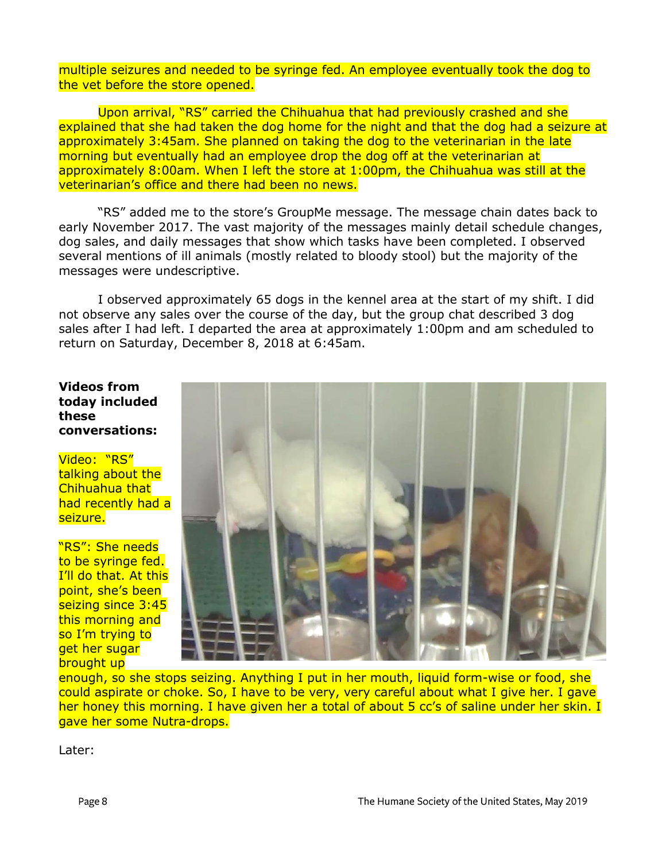multiple seizures and needed to be syringe fed. An employee eventually took the dog to the vet before the store opened.

Upon arrival, "RS" carried the Chihuahua that had previously crashed and she explained that she had taken the dog home for the night and that the dog had a seizure at approximately 3:45am. She planned on taking the dog to the veterinarian in the late morning but eventually had an employee drop the dog off at the veterinarian at approximately 8:00am. When I left the store at 1:00pm, the Chihuahua was still at the veterinarian's office and there had been no news.

"RS" added me to the store's GroupMe message. The message chain dates back to early November 2017. The vast majority of the messages mainly detail schedule changes, dog sales, and daily messages that show which tasks have been completed. I observed several mentions of ill animals (mostly related to bloody stool) but the majority of the messages were undescriptive.

I observed approximately 65 dogs in the kennel area at the start of my shift. I did not observe any sales over the course of the day, but the group chat described 3 dog sales after I had left. I departed the area at approximately 1:00pm and am scheduled to return on Saturday, December 8, 2018 at 6:45am.

**Videos from today included these conversations:**

Video: "RS" talking about the Chihuahua that had recently had a seizure.

"RS": She needs to be syringe fed. I'll do that. At this point, she's been seizing since 3:45 this morning and so I'm trying to aet her sugar brought up



enough, so she stops seizing. Anything I put in her mouth, liquid form-wise or food, she could aspirate or choke. So, I have to be very, very careful about what I give her. I gave her honey this morning. I have given her a total of about 5 cc's of saline under her skin. I gave her some Nutra-drops.

Later: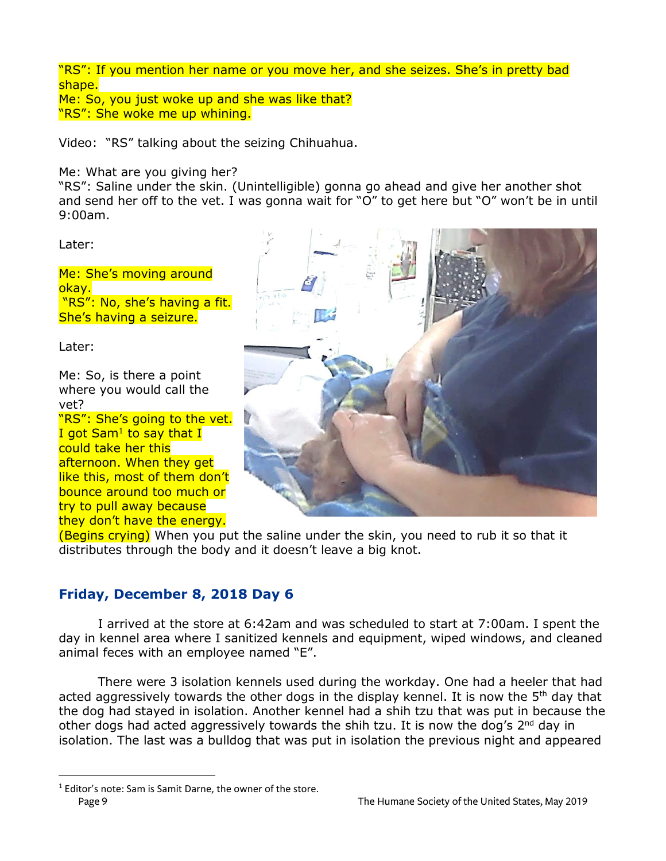"RS": If you mention her name or you move her, and she seizes. She's in pretty bad shape.

Me: So, you just woke up and she was like that? "RS": She woke me up whining.

Video: "RS" talking about the seizing Chihuahua.

Me: What are you giving her?

"RS": Saline under the skin. (Unintelligible) gonna go ahead and give her another shot and send her off to the vet. I was gonna wait for "O" to get here but "O" won't be in until 9:00am.

Later:

Me: She's moving around okay. "RS": No, she's having a fit. She's having a seizure.

Later:

 $\overline{a}$ 

Me: So, is there a point where you would call the vet?

"RS": She's going to the vet. I got Sam<sup>1</sup> to say that I could take her this afternoon. When they get like this, most of them don't bounce around too much or try to pull away because they don't have the energy.



(Begins crying) When you put the saline under the skin, you need to rub it so that it distributes through the body and it doesn't leave a big knot.

# **Friday, December 8, 2018 Day 6**

I arrived at the store at 6:42am and was scheduled to start at 7:00am. I spent the day in kennel area where I sanitized kennels and equipment, wiped windows, and cleaned animal feces with an employee named "E".

There were 3 isolation kennels used during the workday. One had a heeler that had acted aggressively towards the other dogs in the display kennel. It is now the 5<sup>th</sup> day that the dog had stayed in isolation. Another kennel had a shih tzu that was put in because the other dogs had acted aggressively towards the shih tzu. It is now the dog's  $2^{nd}$  day in isolation. The last was a bulldog that was put in isolation the previous night and appeared

<sup>&</sup>lt;sup>1</sup> Editor's note: Sam is Samit Darne, the owner of the store. Page 9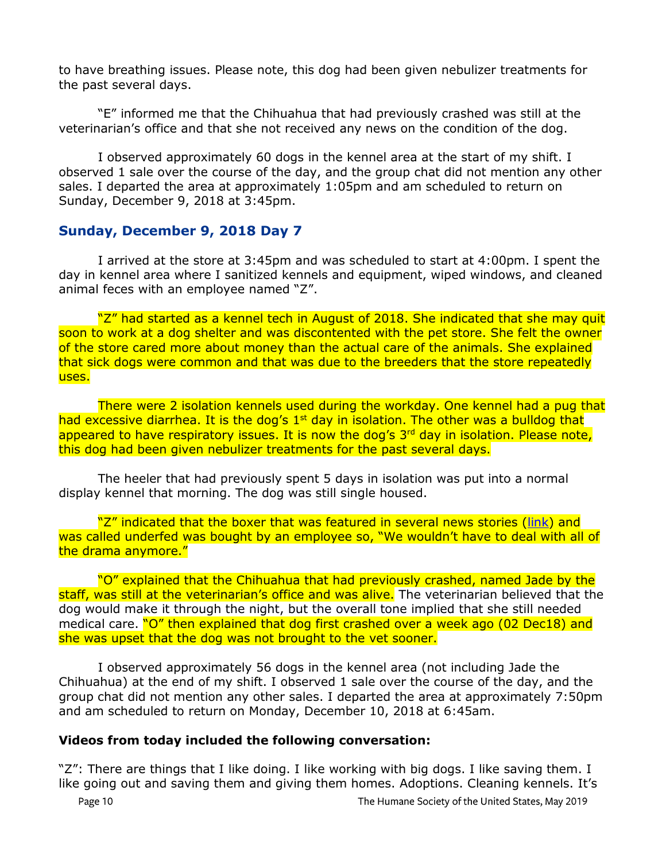to have breathing issues. Please note, this dog had been given nebulizer treatments for the past several days.

"E" informed me that the Chihuahua that had previously crashed was still at the veterinarian's office and that she not received any news on the condition of the dog.

I observed approximately 60 dogs in the kennel area at the start of my shift. I observed 1 sale over the course of the day, and the group chat did not mention any other sales. I departed the area at approximately 1:05pm and am scheduled to return on Sunday, December 9, 2018 at 3:45pm.

## **Sunday, December 9, 2018 Day 7**

I arrived at the store at 3:45pm and was scheduled to start at 4:00pm. I spent the day in kennel area where I sanitized kennels and equipment, wiped windows, and cleaned animal feces with an employee named "Z".

"Z" had started as a kennel tech in August of 2018. She indicated that she may quit soon to work at a dog shelter and was discontented with the pet store. She felt the owner of the store cared more about money than the actual care of the animals. She explained that sick dogs were common and that was due to the breeders that the store repeatedly uses.

There were 2 isolation kennels used during the workday. One kennel had a pug that had excessive diarrhea. It is the dog's  $1<sup>st</sup>$  day in isolation. The other was a bulldog that appeared to have respiratory issues. It is now the dog's 3<sup>rd</sup> day in isolation. Please note, this dog had been given nebulizer treatments for the past several days.

The heeler that had previously spent 5 days in isolation was put into a normal display kennel that morning. The dog was still single housed.

"Z" indicated that the boxer that was featured in several news stories [\(link\)](https://www.easttexasmatters.com/news/local-news/spca-of-east-texas-seeking-information-for-petland-tyler-customers-who-ve-had-issues/1570657514) and was called underfed was bought by an employee so, "We wouldn't have to deal with all of the drama anymore."

"O" explained that the Chihuahua that had previously crashed, named Jade by the staff, was still at the veterinarian's office and was alive. The veterinarian believed that the dog would make it through the night, but the overall tone implied that she still needed medical care. "O" then explained that dog first crashed over a week ago (02 Dec18) and she was upset that the dog was not brought to the vet sooner.

I observed approximately 56 dogs in the kennel area (not including Jade the Chihuahua) at the end of my shift. I observed 1 sale over the course of the day, and the group chat did not mention any other sales. I departed the area at approximately 7:50pm and am scheduled to return on Monday, December 10, 2018 at 6:45am.

#### **Videos from today included the following conversation:**

"Z": There are things that I like doing. I like working with big dogs. I like saving them. I like going out and saving them and giving them homes. Adoptions. Cleaning kennels. It's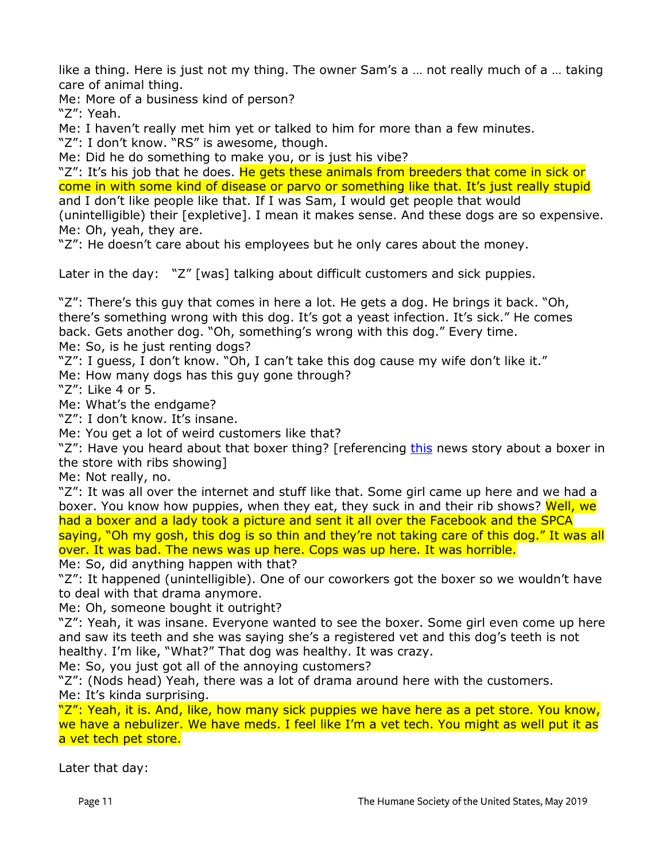like a thing. Here is just not my thing. The owner Sam's a … not really much of a … taking care of animal thing.

Me: More of a business kind of person?

"Z": Yeah.

Me: I haven't really met him yet or talked to him for more than a few minutes.

"Z": I don't know. "RS" is awesome, though.

Me: Did he do something to make you, or is just his vibe?

"Z": It's his job that he does. He gets these animals from breeders that come in sick or come in with some kind of disease or parvo or something like that. It's just really stupid and I don't like people like that. If I was Sam, I would get people that would

(unintelligible) their [expletive]. I mean it makes sense. And these dogs are so expensive. Me: Oh, yeah, they are.

"Z": He doesn't care about his employees but he only cares about the money.

Later in the day: "Z" [was] talking about difficult customers and sick puppies.

"Z": There's this guy that comes in here a lot. He gets a dog. He brings it back. "Oh, there's something wrong with this dog. It's got a yeast infection. It's sick." He comes back. Gets another dog. "Oh, something's wrong with this dog." Every time.

Me: So, is he just renting dogs?

"Z": I guess, I don't know. "Oh, I can't take this dog cause my wife don't like it."

Me: How many dogs has this guy gone through?

"Z": Like 4 or 5.

Me: What's the endgame?

"Z": I don't know. It's insane.

Me: You get a lot of weird customers like that?

"Z": Have you heard about that boxer thing? [referencing [this](https://www.easttexasmatters.com/news/local-news/spca-of-east-texas-seeking-information-for-petland-tyler-customers-who-ve-had-issues/1570657514) news story about a boxer in the store with ribs showing]

Me: Not really, no.

"Z": It was all over the internet and stuff like that. Some girl came up here and we had a boxer. You know how puppies, when they eat, they suck in and their rib shows? Well, we had a boxer and a lady took a picture and sent it all over the Facebook and the SPCA saying, "Oh my gosh, this dog is so thin and they're not taking care of this dog." It was all over. It was bad. The news was up here. Cops was up here. It was horrible.

Me: So, did anything happen with that?

"Z": It happened (unintelligible). One of our coworkers got the boxer so we wouldn't have to deal with that drama anymore.

Me: Oh, someone bought it outright?

"Z": Yeah, it was insane. Everyone wanted to see the boxer. Some girl even come up here and saw its teeth and she was saying she's a registered vet and this dog's teeth is not healthy. I'm like, "What?" That dog was healthy. It was crazy.

Me: So, you just got all of the annoying customers?

"Z": (Nods head) Yeah, there was a lot of drama around here with the customers. Me: It's kinda surprising.

"Z": Yeah, it is. And, like, how many sick puppies we have here as a pet store. You know, we have a nebulizer. We have meds. I feel like I'm a vet tech. You might as well put it as a vet tech pet store.

Later that day: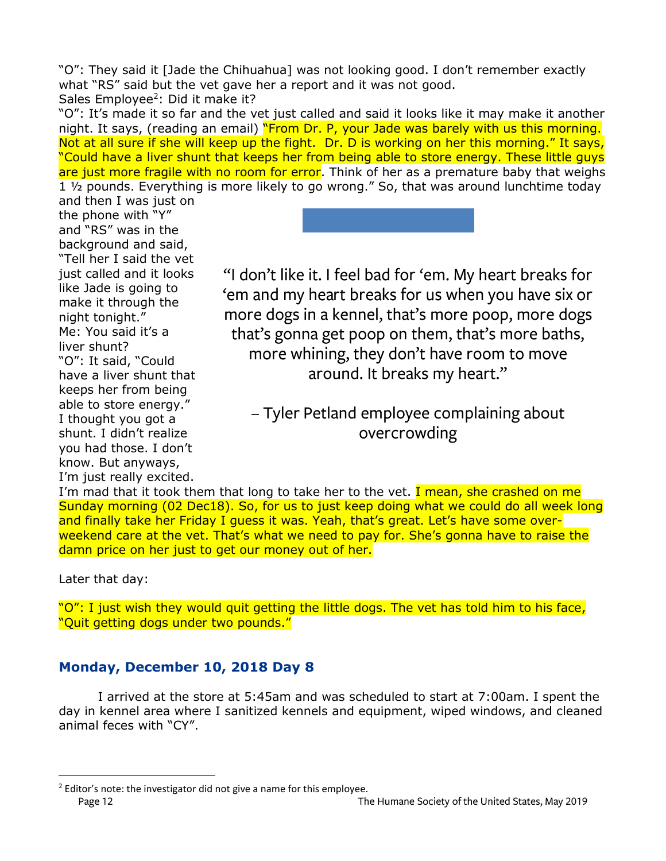"O": They said it [Jade the Chihuahua] was not looking good. I don't remember exactly what "RS" said but the vet gave her a report and it was not good. Sales Employee<sup>2</sup>: Did it make it?

"O": It's made it so far and the vet just called and said it looks like it may make it another night. It says, (reading an email) "From Dr. P, your Jade was barely with us this morning. Not at all sure if she will keep up the fight. Dr. D is working on her this morning." It says, "Could have a liver shunt that keeps her from being able to store energy. These little guys are just more fragile with no room for error. Think of her as a premature baby that weighs 1 ½ pounds. Everything is more likely to go wrong." So, that was around lunchtime today

and then I was just on the phone with "Y" and "RS" was in the background and said, "Tell her I said the vet just called and it looks like Jade is going to make it through the night tonight." Me: You said it's a liver shunt? "O": It said, "Could have a liver shunt that keeps her from being able to store energy." I thought you got a shunt. I didn't realize you had those. I don't know. But anyways, I'm just really excited.



"I don't like it. I feel bad for 'em. My heart breaks for 'em and my heart breaks for us when you have six or more dogs in a kennel, that's more poop, more dogs that's gonna get poop on them, that's more baths, more whining, they don't have room to move around. It breaks my heart."

- Tyler Petland employee complaining about overcrowding

I'm mad that it took them that long to take her to the vet. I mean, she crashed on me Sunday morning (02 Dec18). So, for us to just keep doing what we could do all week long and finally take her Friday I guess it was. Yeah, that's great. Let's have some overweekend care at the vet. That's what we need to pay for. She's gonna have to raise the damn price on her just to get our money out of her.

Later that day:

 $\overline{a}$ 

"O": I just wish they would quit getting the little dogs. The vet has told him to his face, "Quit getting dogs under two pounds."

## **Monday, December 10, 2018 Day 8**

I arrived at the store at 5:45am and was scheduled to start at 7:00am. I spent the day in kennel area where I sanitized kennels and equipment, wiped windows, and cleaned animal feces with "CY".

<sup>&</sup>lt;sup>2</sup> Editor's note: the investigator did not give a name for this employee. Page 12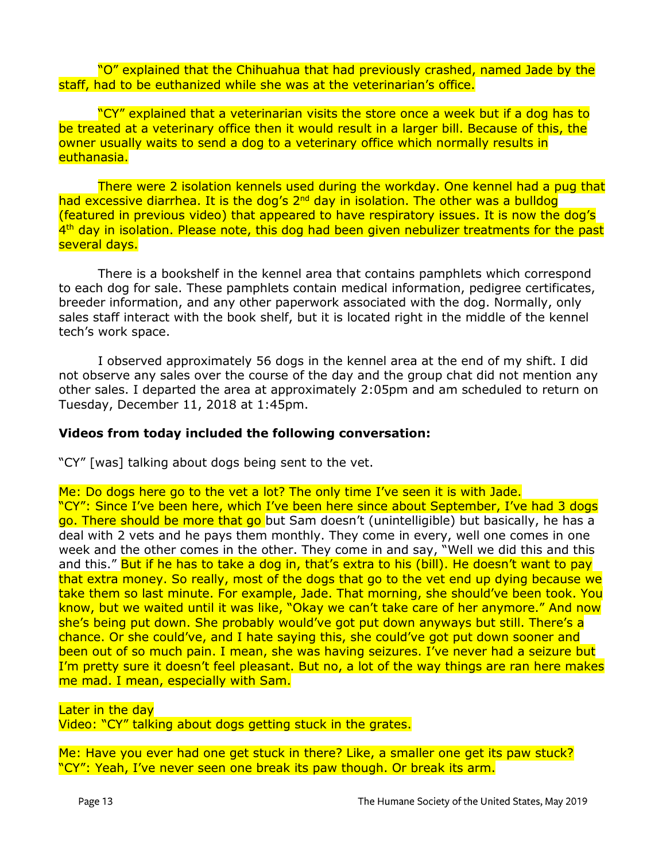"O" explained that the Chihuahua that had previously crashed, named Jade by the staff, had to be euthanized while she was at the veterinarian's office.

"CY" explained that a veterinarian visits the store once a week but if a dog has to be treated at a veterinary office then it would result in a larger bill. Because of this, the owner usually waits to send a dog to a veterinary office which normally results in euthanasia.

There were 2 isolation kennels used during the workday. One kennel had a pug that had excessive diarrhea. It is the dog's  $2<sup>nd</sup>$  day in isolation. The other was a bulldog (featured in previous video) that appeared to have respiratory issues. It is now the dog's 4<sup>th</sup> day in isolation. Please note, this dog had been given nebulizer treatments for the past several days.

There is a bookshelf in the kennel area that contains pamphlets which correspond to each dog for sale. These pamphlets contain medical information, pedigree certificates, breeder information, and any other paperwork associated with the dog. Normally, only sales staff interact with the book shelf, but it is located right in the middle of the kennel tech's work space.

I observed approximately 56 dogs in the kennel area at the end of my shift. I did not observe any sales over the course of the day and the group chat did not mention any other sales. I departed the area at approximately 2:05pm and am scheduled to return on Tuesday, December 11, 2018 at 1:45pm.

#### **Videos from today included the following conversation:**

"CY" [was] talking about dogs being sent to the vet.

Me: Do dogs here go to the vet a lot? The only time I've seen it is with Jade. "CY": Since I've been here, which I've been here since about September, I've had 3 dogs go. There should be more that go but Sam doesn't (unintelligible) but basically, he has a deal with 2 vets and he pays them monthly. They come in every, well one comes in one week and the other comes in the other. They come in and say, "Well we did this and this and this." But if he has to take a dog in, that's extra to his (bill). He doesn't want to pay that extra money. So really, most of the dogs that go to the vet end up dying because we take them so last minute. For example, Jade. That morning, she should've been took. You know, but we waited until it was like, "Okay we can't take care of her anymore." And now she's being put down. She probably would've got put down anyways but still. There's a chance. Or she could've, and I hate saying this, she could've got put down sooner and been out of so much pain. I mean, she was having seizures. I've never had a seizure but I'm pretty sure it doesn't feel pleasant. But no, a lot of the way things are ran here makes me mad. I mean, especially with Sam.

Later in the day Video: "CY" talking about dogs getting stuck in the grates.

Me: Have you ever had one get stuck in there? Like, a smaller one get its paw stuck? "CY": Yeah, I've never seen one break its paw though. Or break its arm.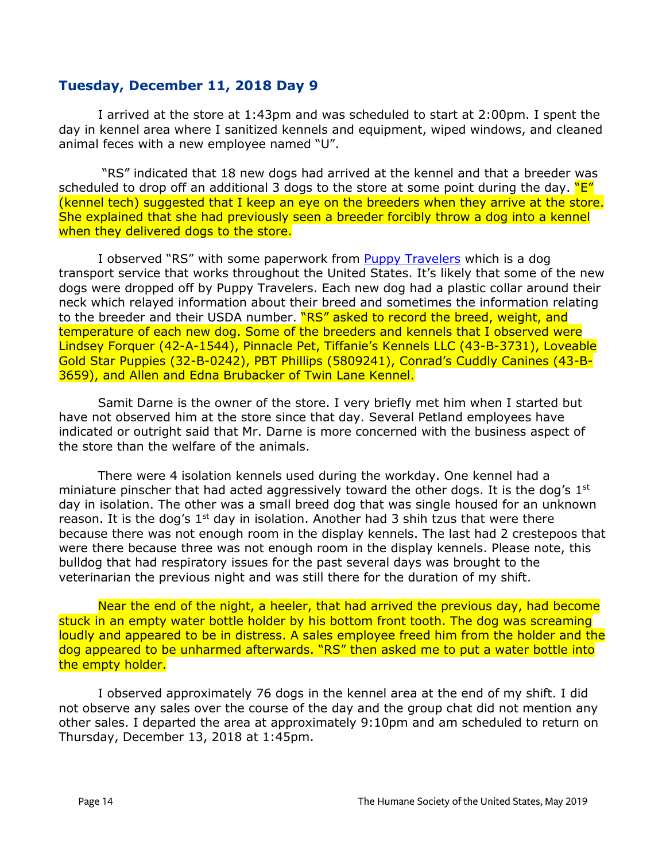## **Tuesday, December 11, 2018 Day 9**

I arrived at the store at 1:43pm and was scheduled to start at 2:00pm. I spent the day in kennel area where I sanitized kennels and equipment, wiped windows, and cleaned animal feces with a new employee named "U".

"RS" indicated that 18 new dogs had arrived at the kennel and that a breeder was scheduled to drop off an additional 3 dogs to the store at some point during the day.  $"E"$ (kennel tech) suggested that I keep an eye on the breeders when they arrive at the store. She explained that she had previously seen a breeder forcibly throw a dog into a kennel when they delivered dogs to the store.

I observed "RS" with some paperwork from [Puppy Travelers](http://www.puppytravelers.com/) which is a dog transport service that works throughout the United States. It's likely that some of the new dogs were dropped off by Puppy Travelers. Each new dog had a plastic collar around their neck which relayed information about their breed and sometimes the information relating to the breeder and their USDA number. "RS" asked to record the breed, weight, and temperature of each new dog. Some of the breeders and kennels that I observed were Lindsey Forquer (42-A-1544), Pinnacle Pet, Tiffanie's Kennels LLC (43-B-3731), Loveable Gold Star Puppies (32-B-0242), PBT Phillips (5809241), Conrad's Cuddly Canines (43-B-3659), and Allen and Edna Brubacker of Twin Lane Kennel.

Samit Darne is the owner of the store. I very briefly met him when I started but have not observed him at the store since that day. Several Petland employees have indicated or outright said that Mr. Darne is more concerned with the business aspect of the store than the welfare of the animals.

There were 4 isolation kennels used during the workday. One kennel had a miniature pinscher that had acted aggressively toward the other dogs. It is the dog's  $1<sup>st</sup>$ day in isolation. The other was a small breed dog that was single housed for an unknown reason. It is the dog's  $1^{st}$  day in isolation. Another had 3 shih tzus that were there because there was not enough room in the display kennels. The last had 2 crestepoos that were there because three was not enough room in the display kennels. Please note, this bulldog that had respiratory issues for the past several days was brought to the veterinarian the previous night and was still there for the duration of my shift.

Near the end of the night, a heeler, that had arrived the previous day, had become stuck in an empty water bottle holder by his bottom front tooth. The dog was screaming loudly and appeared to be in distress. A sales employee freed him from the holder and the dog appeared to be unharmed afterwards. "RS" then asked me to put a water bottle into the empty holder.

I observed approximately 76 dogs in the kennel area at the end of my shift. I did not observe any sales over the course of the day and the group chat did not mention any other sales. I departed the area at approximately 9:10pm and am scheduled to return on Thursday, December 13, 2018 at 1:45pm.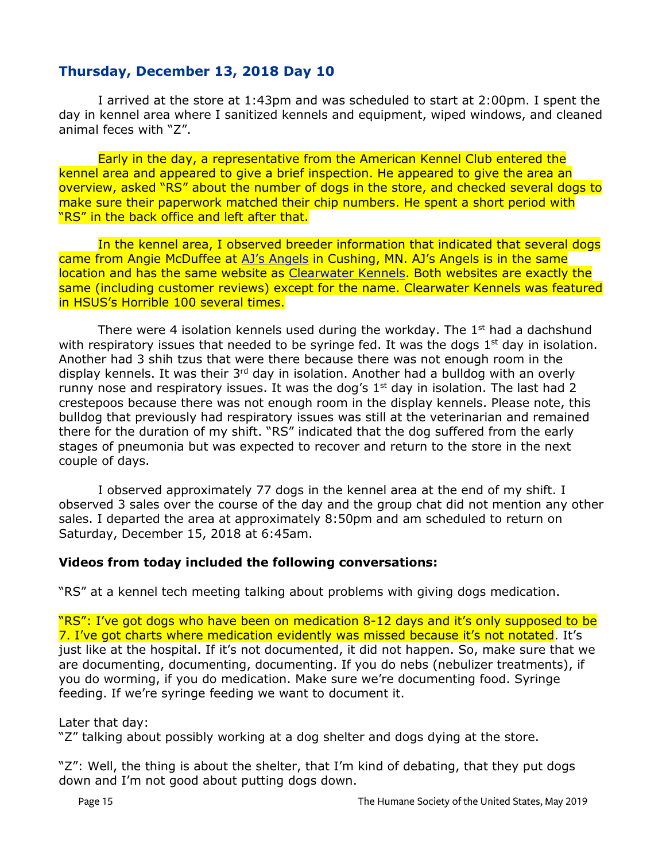## **Thursday, December 13, 2018 Day 10**

I arrived at the store at 1:43pm and was scheduled to start at 2:00pm. I spent the day in kennel area where I sanitized kennels and equipment, wiped windows, and cleaned animal feces with "Z".

Early in the day, a representative from the American Kennel Club entered the kennel area and appeared to give a brief inspection. He appeared to give the area an overview, asked "RS" about the number of dogs in the store, and checked several dogs to make sure their paperwork matched their chip numbers. He spent a short period with "RS" in the back office and left after that.

In the kennel area, I observed breeder information that indicated that several dogs came from Angie McDuffee at [AJ's Angels](http://www.ajs-angels.com/) in Cushing, MN. AJ's Angels is in the same location and has the same website as [Clearwater Kennels.](http://www.clearwaterkennels.com/clearwater_kennels_cushing_mn_about_us.aspx) Both websites are exactly the same (including customer reviews) except for the name. Clearwater Kennels was featured in HSUS's Horrible 100 several times.

There were 4 isolation kennels used during the workday. The  $1<sup>st</sup>$  had a dachshund with respiratory issues that needed to be syringe fed. It was the dogs  $1<sup>st</sup>$  day in isolation. Another had 3 shih tzus that were there because there was not enough room in the display kennels. It was their  $3<sup>rd</sup>$  day in isolation. Another had a bulldog with an overly runny nose and respiratory issues. It was the dog's  $1<sup>st</sup>$  day in isolation. The last had 2 crestepoos because there was not enough room in the display kennels. Please note, this bulldog that previously had respiratory issues was still at the veterinarian and remained there for the duration of my shift. "RS" indicated that the dog suffered from the early stages of pneumonia but was expected to recover and return to the store in the next couple of days.

I observed approximately 77 dogs in the kennel area at the end of my shift. I observed 3 sales over the course of the day and the group chat did not mention any other sales. I departed the area at approximately 8:50pm and am scheduled to return on Saturday, December 15, 2018 at 6:45am.

#### **Videos from today included the following conversations:**

"RS" at a kennel tech meeting talking about problems with giving dogs medication.

"RS": I've got dogs who have been on medication 8-12 days and it's only supposed to be 7. I've got charts where medication evidently was missed because it's not notated. It's just like at the hospital. If it's not documented, it did not happen. So, make sure that we are documenting, documenting, documenting. If you do nebs (nebulizer treatments), if you do worming, if you do medication. Make sure we're documenting food. Syringe feeding. If we're syringe feeding we want to document it.

Later that day:

"Z" talking about possibly working at a dog shelter and dogs dying at the store.

"Z": Well, the thing is about the shelter, that I'm kind of debating, that they put dogs down and I'm not good about putting dogs down.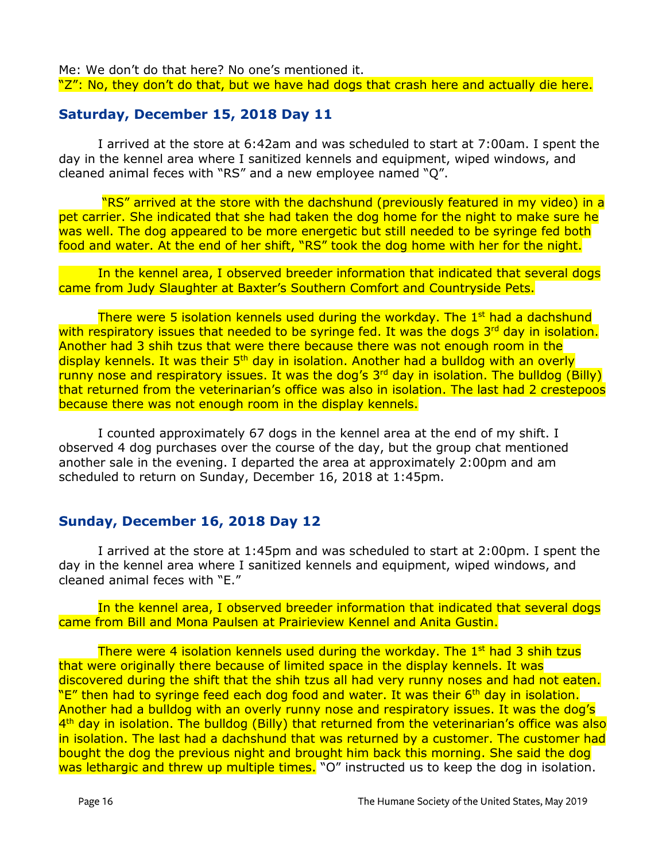Me: We don't do that here? No one's mentioned it. "Z": No, they don't do that, but we have had dogs that crash here and actually die here.

## **Saturday, December 15, 2018 Day 11**

I arrived at the store at 6:42am and was scheduled to start at 7:00am. I spent the day in the kennel area where I sanitized kennels and equipment, wiped windows, and cleaned animal feces with "RS" and a new employee named "Q".

"RS" arrived at the store with the dachshund (previously featured in my video) in a pet carrier. She indicated that she had taken the dog home for the night to make sure he was well. The dog appeared to be more energetic but still needed to be syringe fed both food and water. At the end of her shift, "RS" took the dog home with her for the night.

In the kennel area, I observed breeder information that indicated that several dogs came from Judy Slaughter at Baxter's Southern Comfort and Countryside Pets.

There were 5 isolation kennels used during the workday. The 1<sup>st</sup> had a dachshund with respiratory issues that needed to be syringe fed. It was the dogs 3<sup>rd</sup> day in isolation. Another had 3 shih tzus that were there because there was not enough room in the display kennels. It was their 5<sup>th</sup> day in isolation. Another had a bulldog with an overly runny nose and respiratory issues. It was the dog's 3<sup>rd</sup> day in isolation. The bulldog (Billy) that returned from the veterinarian's office was also in isolation. The last had 2 crestepoos because there was not enough room in the display kennels.

I counted approximately 67 dogs in the kennel area at the end of my shift. I observed 4 dog purchases over the course of the day, but the group chat mentioned another sale in the evening. I departed the area at approximately 2:00pm and am scheduled to return on Sunday, December 16, 2018 at 1:45pm.

#### **Sunday, December 16, 2018 Day 12**

I arrived at the store at 1:45pm and was scheduled to start at 2:00pm. I spent the day in the kennel area where I sanitized kennels and equipment, wiped windows, and cleaned animal feces with "E."

In the kennel area, I observed breeder information that indicated that several dogs came from Bill and Mona Paulsen at Prairieview Kennel and Anita Gustin.

There were 4 isolation kennels used during the workday. The  $1^{st}$  had 3 shih tzus that were originally there because of limited space in the display kennels. It was discovered during the shift that the shih tzus all had very runny noses and had not eaten. "E" then had to syringe feed each dog food and water. It was their 6<sup>th</sup> day in isolation. Another had a bulldog with an overly runny nose and respiratory issues. It was the dog's 4<sup>th</sup> day in isolation. The bulldog (Billy) that returned from the veterinarian's office was also in isolation. The last had a dachshund that was returned by a customer. The customer had bought the dog the previous night and brought him back this morning. She said the dog was lethargic and threw up multiple times. "O" instructed us to keep the dog in isolation.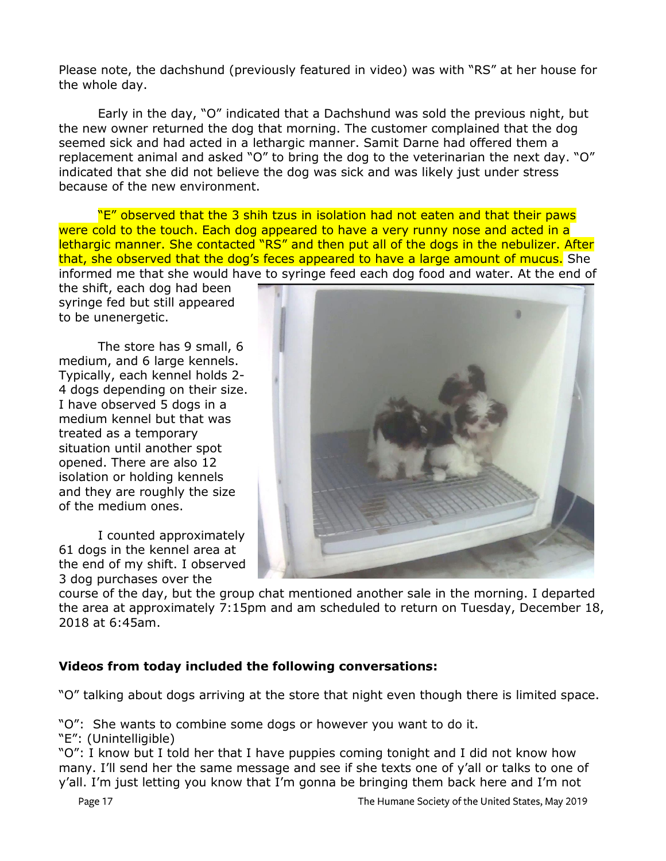Please note, the dachshund (previously featured in video) was with "RS" at her house for the whole day.

Early in the day, "O" indicated that a Dachshund was sold the previous night, but the new owner returned the dog that morning. The customer complained that the dog seemed sick and had acted in a lethargic manner. Samit Darne had offered them a replacement animal and asked "O" to bring the dog to the veterinarian the next day. "O" indicated that she did not believe the dog was sick and was likely just under stress because of the new environment.

"E" observed that the 3 shih tzus in isolation had not eaten and that their paws were cold to the touch. Each dog appeared to have a very runny nose and acted in a lethargic manner. She contacted "RS" and then put all of the dogs in the nebulizer. After that, she observed that the dog's feces appeared to have a large amount of mucus. She informed me that she would have to syringe feed each dog food and water. At the end of

the shift, each dog had been syringe fed but still appeared to be unenergetic.

The store has 9 small, 6 medium, and 6 large kennels. Typically, each kennel holds 2- 4 dogs depending on their size. I have observed 5 dogs in a medium kennel but that was treated as a temporary situation until another spot opened. There are also 12 isolation or holding kennels and they are roughly the size of the medium ones.

I counted approximately 61 dogs in the kennel area at the end of my shift. I observed 3 dog purchases over the



course of the day, but the group chat mentioned another sale in the morning. I departed the area at approximately 7:15pm and am scheduled to return on Tuesday, December 18, 2018 at 6:45am.

## **Videos from today included the following conversations:**

"O" talking about dogs arriving at the store that night even though there is limited space.

"O": She wants to combine some dogs or however you want to do it.

"E": (Unintelligible)

"O": I know but I told her that I have puppies coming tonight and I did not know how many. I'll send her the same message and see if she texts one of y'all or talks to one of y'all. I'm just letting you know that I'm gonna be bringing them back here and I'm not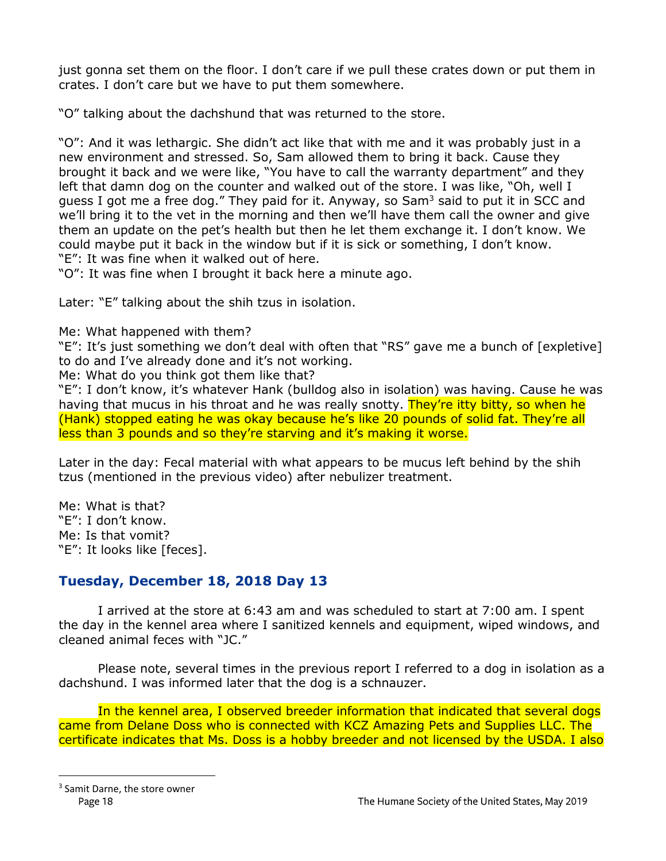just gonna set them on the floor. I don't care if we pull these crates down or put them in crates. I don't care but we have to put them somewhere.

"O" talking about the dachshund that was returned to the store.

"O": And it was lethargic. She didn't act like that with me and it was probably just in a new environment and stressed. So, Sam allowed them to bring it back. Cause they brought it back and we were like, "You have to call the warranty department" and they left that damn dog on the counter and walked out of the store. I was like, "Oh, well I guess I got me a free dog." They paid for it. Anyway, so Sam $^3$  said to put it in SCC and we'll bring it to the vet in the morning and then we'll have them call the owner and give them an update on the pet's health but then he let them exchange it. I don't know. We could maybe put it back in the window but if it is sick or something, I don't know. "E": It was fine when it walked out of here.

"O": It was fine when I brought it back here a minute ago.

Later: "E" talking about the shih tzus in isolation.

Me: What happened with them?

"E": It's just something we don't deal with often that "RS" gave me a bunch of [expletive] to do and I've already done and it's not working.

Me: What do you think got them like that?

"E": I don't know, it's whatever Hank (bulldog also in isolation) was having. Cause he was having that mucus in his throat and he was really snotty. They're itty bitty, so when he (Hank) stopped eating he was okay because he's like 20 pounds of solid fat. They're all less than 3 pounds and so they're starving and it's making it worse.

Later in the day: Fecal material with what appears to be mucus left behind by the shih tzus (mentioned in the previous video) after nebulizer treatment.

Me: What is that? "E": I don't know. Me: Is that vomit? "E": It looks like [feces].

# **Tuesday, December 18, 2018 Day 13**

I arrived at the store at 6:43 am and was scheduled to start at 7:00 am. I spent the day in the kennel area where I sanitized kennels and equipment, wiped windows, and cleaned animal feces with "JC."

Please note, several times in the previous report I referred to a dog in isolation as a dachshund. I was informed later that the dog is a schnauzer.

In the kennel area, I observed breeder information that indicated that several dogs came from Delane Doss who is connected with KCZ Amazing Pets and Supplies LLC. The certificate indicates that Ms. Doss is a hobby breeder and not licensed by the USDA. I also

 $\overline{a}$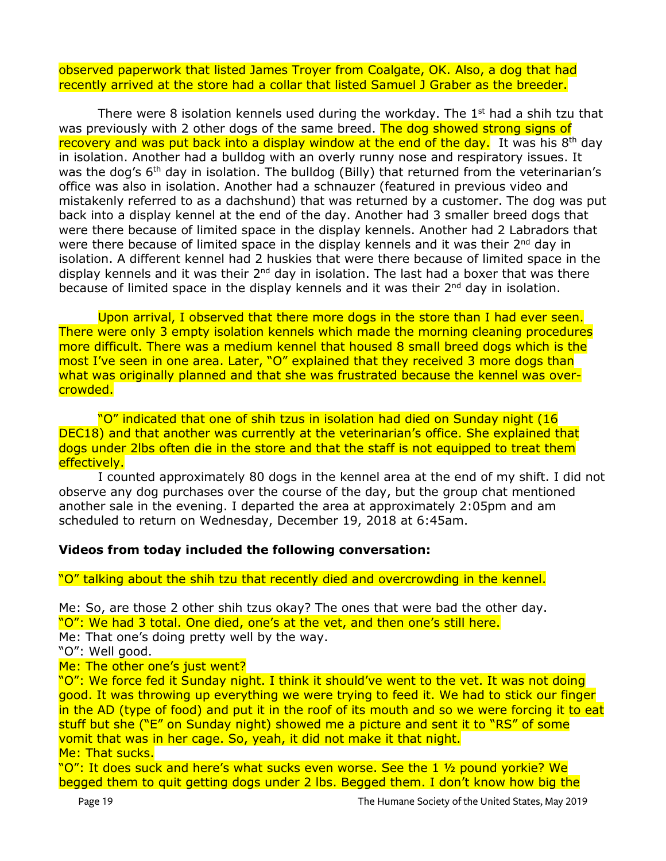observed paperwork that listed James Troyer from Coalgate, OK. Also, a dog that had recently arrived at the store had a collar that listed Samuel J Graber as the breeder.

There were 8 isolation kennels used during the workday. The  $1<sup>st</sup>$  had a shih tzu that was previously with 2 other dogs of the same breed. The dog showed strong signs of recovery and was put back into a display window at the end of the day. It was his  $8<sup>th</sup>$  day in isolation. Another had a bulldog with an overly runny nose and respiratory issues. It was the dog's  $6<sup>th</sup>$  day in isolation. The bulldog (Billy) that returned from the veterinarian's office was also in isolation. Another had a schnauzer (featured in previous video and mistakenly referred to as a dachshund) that was returned by a customer. The dog was put back into a display kennel at the end of the day. Another had 3 smaller breed dogs that were there because of limited space in the display kennels. Another had 2 Labradors that were there because of limited space in the display kennels and it was their 2<sup>nd</sup> day in isolation. A different kennel had 2 huskies that were there because of limited space in the display kennels and it was their  $2<sup>nd</sup>$  day in isolation. The last had a boxer that was there because of limited space in the display kennels and it was their 2<sup>nd</sup> day in isolation.

Upon arrival, I observed that there more dogs in the store than I had ever seen. There were only 3 empty isolation kennels which made the morning cleaning procedures more difficult. There was a medium kennel that housed 8 small breed dogs which is the most I've seen in one area. Later, "O" explained that they received 3 more dogs than what was originally planned and that she was frustrated because the kennel was overcrowded.

"O" indicated that one of shih tzus in isolation had died on Sunday night (16 DEC18) and that another was currently at the veterinarian's office. She explained that dogs under 2lbs often die in the store and that the staff is not equipped to treat them effectively.

I counted approximately 80 dogs in the kennel area at the end of my shift. I did not observe any dog purchases over the course of the day, but the group chat mentioned another sale in the evening. I departed the area at approximately 2:05pm and am scheduled to return on Wednesday, December 19, 2018 at 6:45am.

#### **Videos from today included the following conversation:**

#### "O" talking about the shih tzu that recently died and overcrowding in the kennel.

Me: So, are those 2 other shih tzus okay? The ones that were bad the other day. "O": We had 3 total. One died, one's at the vet, and then one's still here. Me: That one's doing pretty well by the way.

"O": Well good.

#### Me: The other one's just went?

"O": We force fed it Sunday night. I think it should've went to the vet. It was not doing good. It was throwing up everything we were trying to feed it. We had to stick our finger in the AD (type of food) and put it in the roof of its mouth and so we were forcing it to eat stuff but she ("E" on Sunday night) showed me a picture and sent it to "RS" of some vomit that was in her cage. So, yeah, it did not make it that night. Me: That sucks.

"O": It does suck and here's what sucks even worse. See the 1 1/2 pound yorkie? We begged them to quit getting dogs under 2 lbs. Begged them. I don't know how big the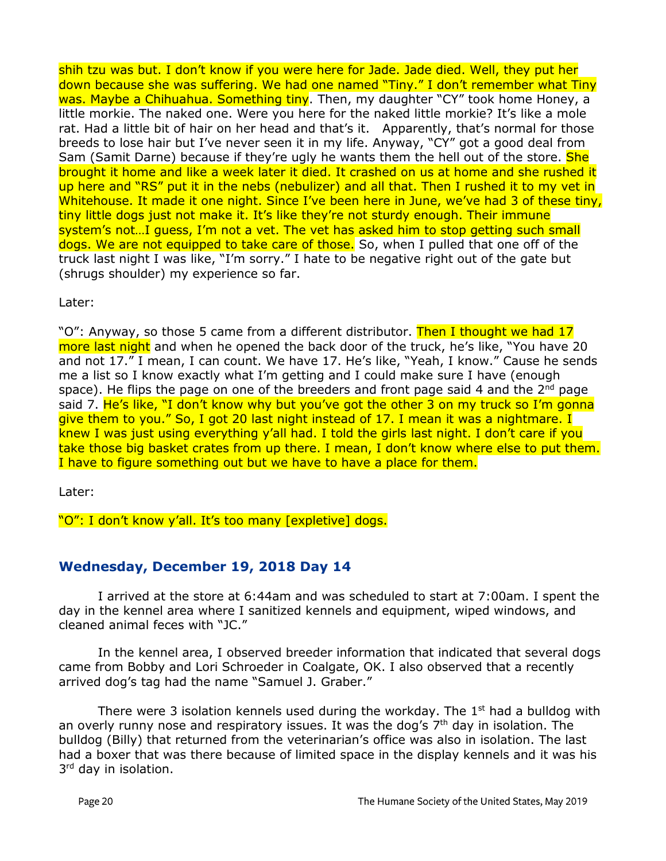shih tzu was but. I don't know if you were here for Jade. Jade died. Well, they put her down because she was suffering. We had one named "Tiny." I don't remember what Tiny was. Maybe a Chihuahua. Something tiny. Then, my daughter "CY" took home Honey, a little morkie. The naked one. Were you here for the naked little morkie? It's like a mole rat. Had a little bit of hair on her head and that's it. Apparently, that's normal for those breeds to lose hair but I've never seen it in my life. Anyway, "CY" got a good deal from Sam (Samit Darne) because if they're ugly he wants them the hell out of the store. She brought it home and like a week later it died. It crashed on us at home and she rushed it up here and "RS" put it in the nebs (nebulizer) and all that. Then I rushed it to my vet in Whitehouse. It made it one night. Since I've been here in June, we've had 3 of these tiny, tiny little dogs just not make it. It's like they're not sturdy enough. Their immune system's not…I guess, I'm not a vet. The vet has asked him to stop getting such small dogs. We are not equipped to take care of those. So, when I pulled that one off of the truck last night I was like, "I'm sorry." I hate to be negative right out of the gate but (shrugs shoulder) my experience so far.

Later:

"O": Anyway, so those 5 came from a different distributor. Then I thought we had 17 more last night and when he opened the back door of the truck, he's like, "You have 20 and not 17." I mean, I can count. We have 17. He's like, "Yeah, I know." Cause he sends me a list so I know exactly what I'm getting and I could make sure I have (enough space). He flips the page on one of the breeders and front page said 4 and the  $2^{nd}$  page said 7. He's like, "I don't know why but you've got the other 3 on my truck so I'm gonna give them to you." So, I got 20 last night instead of 17. I mean it was a nightmare. I knew I was just using everything y'all had. I told the girls last night. I don't care if you take those big basket crates from up there. I mean, I don't know where else to put them. I have to figure something out but we have to have a place for them.

Later:

"O": I don't know y'all. It's too many [expletive] dogs.

## **Wednesday, December 19, 2018 Day 14**

I arrived at the store at 6:44am and was scheduled to start at 7:00am. I spent the day in the kennel area where I sanitized kennels and equipment, wiped windows, and cleaned animal feces with "JC."

In the kennel area, I observed breeder information that indicated that several dogs came from Bobby and Lori Schroeder in Coalgate, OK. I also observed that a recently arrived dog's tag had the name "Samuel J. Graber."

There were 3 isolation kennels used during the workday. The  $1<sup>st</sup>$  had a bulldog with an overly runny nose and respiratory issues. It was the dog's  $7<sup>th</sup>$  day in isolation. The bulldog (Billy) that returned from the veterinarian's office was also in isolation. The last had a boxer that was there because of limited space in the display kennels and it was his 3<sup>rd</sup> day in isolation.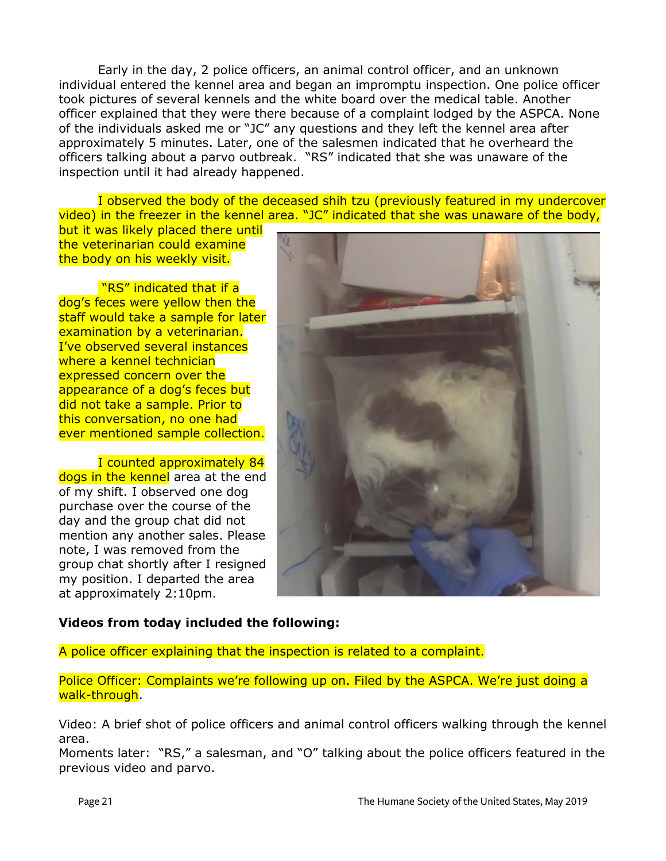Early in the day, 2 police officers, an animal control officer, and an unknown individual entered the kennel area and began an impromptu inspection. One police officer took pictures of several kennels and the white board over the medical table. Another officer explained that they were there because of a complaint lodged by the ASPCA. None of the individuals asked me or "JC" any questions and they left the kennel area after approximately 5 minutes. Later, one of the salesmen indicated that he overheard the officers talking about a parvo outbreak. "RS" indicated that she was unaware of the inspection until it had already happened.

I observed the body of the deceased shih tzu (previously featured in my undercover video) in the freezer in the kennel area. "JC" indicated that she was unaware of the body,

but it was likely placed there until the veterinarian could examine the body on his weekly visit.

"RS" indicated that if a dog's feces were yellow then the staff would take a sample for later examination by a veterinarian. I've observed several instances where a kennel technician expressed concern over the appearance of a dog's feces but did not take a sample. Prior to this conversation, no one had ever mentioned sample collection.

I counted approximately 84 dogs in the kennel area at the end of my shift. I observed one dog purchase over the course of the day and the group chat did not mention any another sales. Please note, I was removed from the group chat shortly after I resigned my position. I departed the area at approximately 2:10pm.



## **Videos from today included the following:**

A police officer explaining that the inspection is related to a complaint.

Police Officer: Complaints we're following up on. Filed by the ASPCA. We're just doing a walk-through.

Video: A brief shot of police officers and animal control officers walking through the kennel area.

Moments later: "RS," a salesman, and "O" talking about the police officers featured in the previous video and parvo.